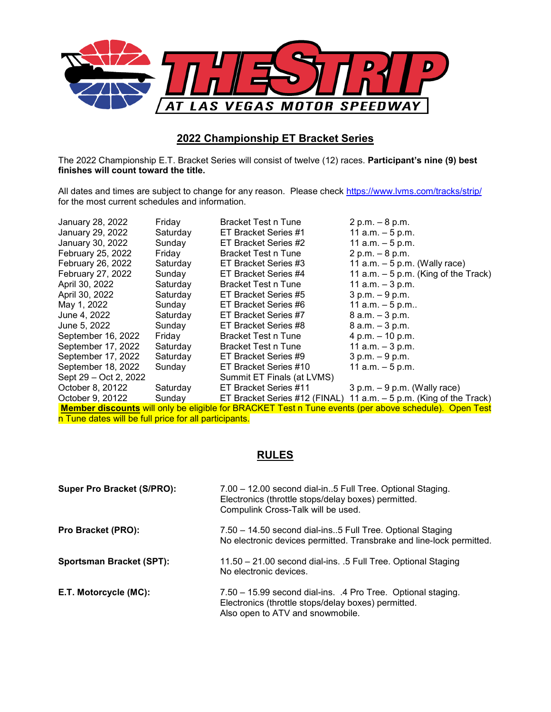

## **2022 Championship ET Bracket Series**

The 2022 Championship E.T. Bracket Series will consist of twelve (12) races. **Participant's nine (9) best finishes will count toward the title.** 

All dates and times are subject to change for any reason. Please check <https://www.lvms.com/tracks/strip/> for the most current schedules and information.

| January 28, 2022         | Friday   | Bracket Test n Tune        | $2 p.m. - 8 p.m.$                                                                                     |
|--------------------------|----------|----------------------------|-------------------------------------------------------------------------------------------------------|
| January 29, 2022         | Saturday | ET Bracket Series #1       | 11 $a.m. - 5 p.m.$                                                                                    |
| January 30, 2022         | Sunday   | ET Bracket Series #2       | 11 $a.m. - 5 p.m.$                                                                                    |
| February 25, 2022        | Friday   | Bracket Test n Tune        | $2 p.m. - 8 p.m.$                                                                                     |
| February 26, 2022        | Saturday | ET Bracket Series #3       | 11 a.m. $-5$ p.m. (Wally race)                                                                        |
| <b>February 27, 2022</b> | Sunday   | ET Bracket Series #4       | 11 $a.m. - 5 p.m.$ (King of the Track)                                                                |
| April 30, 2022           | Saturday | Bracket Test n Tune        | 11 $a.m. - 3 p.m.$                                                                                    |
| April 30, 2022           | Saturday | ET Bracket Series #5       | $3 p.m. - 9 p.m.$                                                                                     |
| May 1, 2022              | Sunday   | ET Bracket Series #6       | 11 a.m. $-5$ p.m                                                                                      |
| June 4, 2022             | Saturday | ET Bracket Series #7       | $8$ a.m. $-3$ p.m.                                                                                    |
| June 5, 2022             | Sunday   | ET Bracket Series #8       | $8$ a.m. $-3$ p.m.                                                                                    |
| September 16, 2022       | Friday   | Bracket Test n Tune        | 4 p.m. $-$ 10 p.m.                                                                                    |
| September 17, 2022       | Saturday | Bracket Test n Tune        | 11 a.m. $-3$ p.m.                                                                                     |
| September 17, 2022       | Saturday | ET Bracket Series #9       | $3 p.m. - 9 p.m.$                                                                                     |
| September 18, 2022       | Sunday   | ET Bracket Series #10      | 11 a.m. – 5 p.m.                                                                                      |
| Sept 29 – Oct 2, 2022    |          | Summit ET Finals (at LVMS) |                                                                                                       |
| October 8, 20122         | Saturday | ET Bracket Series #11      | $3 p.m. - 9 p.m.$ (Wally race)                                                                        |
| October 9, 20122         | Sunday   |                            | ET Bracket Series #12 (FINAL) 11 a.m. $-5$ p.m. (King of the Track)                                   |
|                          |          |                            | Mamber discounts will only be eligible for RRACKET Test n Tune events (per above schodule). Open Test |

**Member discounts** will only be eligible for BRACKET Test n Tune events (per above schedule). Open Test n Tune dates will be full price for all participants.

## **RULES**

| <b>Super Pro Bracket (S/PRO):</b> | 7.00 - 12.00 second dial-in5 Full Tree. Optional Staging.<br>Electronics (throttle stops/delay boxes) permitted.<br>Compulink Cross-Talk will be used.  |
|-----------------------------------|---------------------------------------------------------------------------------------------------------------------------------------------------------|
| Pro Bracket (PRO):                | 7.50 - 14.50 second dial-ins5 Full Tree. Optional Staging<br>No electronic devices permitted. Transbrake and line-lock permitted.                       |
| <b>Sportsman Bracket (SPT):</b>   | 11.50 - 21.00 second dial-ins. .5 Full Tree. Optional Staging<br>No electronic devices.                                                                 |
| E.T. Motorcycle (MC):             | 7.50 - 15.99 second dial-ins. .4 Pro Tree. Optional staging.<br>Electronics (throttle stops/delay boxes) permitted.<br>Also open to ATV and snowmobile. |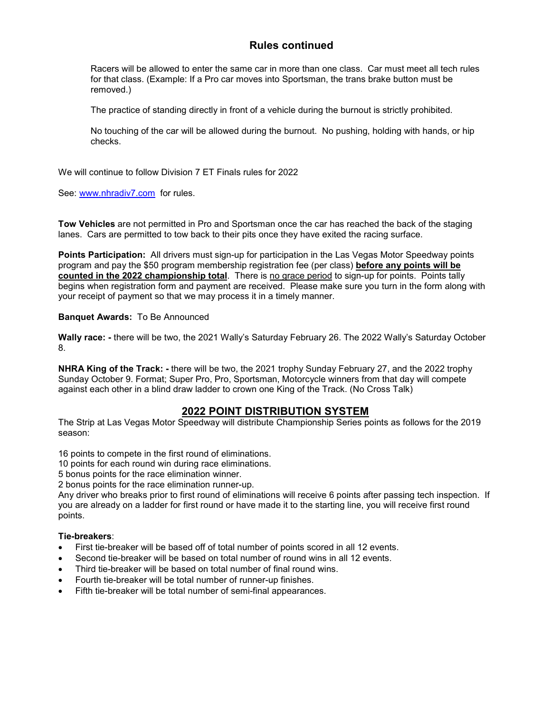## **Rules continued**

Racers will be allowed to enter the same car in more than one class. Car must meet all tech rules for that class. (Example: If a Pro car moves into Sportsman, the trans brake button must be removed.)

The practice of standing directly in front of a vehicle during the burnout is strictly prohibited.

No touching of the car will be allowed during the burnout. No pushing, holding with hands, or hip checks.

We will continue to follow Division 7 ET Finals rules for 2022

See: [www.nhradiv7.com](http://www.nhradiv7.com/) for rules.

**Tow Vehicles** are not permitted in Pro and Sportsman once the car has reached the back of the staging lanes. Cars are permitted to tow back to their pits once they have exited the racing surface.

**Points Participation:** All drivers must sign-up for participation in the Las Vegas Motor Speedway points program and pay the \$50 program membership registration fee (per class) **before any points will be counted in the 2022 championship total**. There is no grace period to sign-up for points. Points tally begins when registration form and payment are received. Please make sure you turn in the form along with your receipt of payment so that we may process it in a timely manner.

### **Banquet Awards:** To Be Announced

**Wally race: -** there will be two, the 2021 Wally's Saturday February 26. The 2022 Wally's Saturday October 8.

**NHRA King of the Track: -** there will be two, the 2021 trophy Sunday February 27, and the 2022 trophy Sunday October 9. Format; Super Pro, Pro, Sportsman, Motorcycle winners from that day will compete against each other in a blind draw ladder to crown one King of the Track. (No Cross Talk)

### **2022 POINT DISTRIBUTION SYSTEM**

The Strip at Las Vegas Motor Speedway will distribute Championship Series points as follows for the 2019 season:

16 points to compete in the first round of eliminations.

10 points for each round win during race eliminations.

5 bonus points for the race elimination winner.

2 bonus points for the race elimination runner-up.

Any driver who breaks prior to first round of eliminations will receive 6 points after passing tech inspection. If you are already on a ladder for first round or have made it to the starting line, you will receive first round points.

### **Tie-breakers**:

- First tie-breaker will be based off of total number of points scored in all 12 events.
- Second tie-breaker will be based on total number of round wins in all 12 events.
- Third tie-breaker will be based on total number of final round wins.
- Fourth tie-breaker will be total number of runner-up finishes.
- Fifth tie-breaker will be total number of semi-final appearances.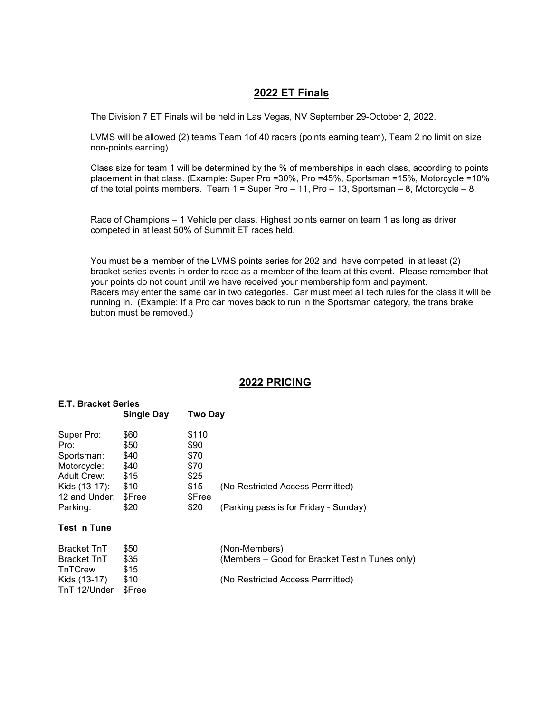## **2022 ET Finals**

The Division 7 ET Finals will be held in Las Vegas, NV September 29-October 2, 2022.

LVMS will be allowed (2) teams Team 1of 40 racers (points earning team), Team 2 no limit on size non-points earning)

Class size for team 1 will be determined by the % of memberships in each class, according to points placement in that class. (Example: Super Pro =30%, Pro =45%, Sportsman =15%, Motorcycle =10% of the total points members. Team  $1 =$  Super Pro  $-11$ , Pro  $-13$ , Sportsman  $-8$ , Motorcycle  $-8$ .

Race of Champions – 1 Vehicle per class. Highest points earner on team 1 as long as driver competed in at least 50% of Summit ET races held.

You must be a member of the LVMS points series for 202 and have competed in at least (2) bracket series events in order to race as a member of the team at this event. Please remember that your points do not count until we have received your membership form and payment. Racers may enter the same car in two categories. Car must meet all tech rules for the class it will be running in. (Example: If a Pro car moves back to run in the Sportsman category, the trans brake button must be removed.)

### **2022 PRICING**

| <b>E.T. Bracket Series</b>   |                   |                |                                                |
|------------------------------|-------------------|----------------|------------------------------------------------|
|                              | <b>Single Day</b> | <b>Two Day</b> |                                                |
| Super Pro:                   | \$60              | \$110          |                                                |
| Pro:                         | \$50              | \$90           |                                                |
| Sportsman:                   | \$40              | \$70           |                                                |
| Motorcycle:                  | \$40              | \$70           |                                                |
| Adult Crew:                  | \$15              | \$25           |                                                |
| Kids (13-17):                | \$10              | \$15           | (No Restricted Access Permitted)               |
| 12 and Under:                | \$Free            | \$Free         |                                                |
| Parking:                     | \$20              | \$20           | (Parking pass is for Friday - Sunday)          |
| Test_n Tune                  |                   |                |                                                |
| Bracket TnT                  | \$50              |                | (Non-Members)                                  |
| Bracket TnT<br>TnTCrew       | \$35<br>\$15      |                | (Members – Good for Bracket Test n Tunes only) |
| Kids (13-17)<br>TnT 12/Under | \$10<br>\$Free    |                | (No Restricted Access Permitted)               |
|                              |                   |                |                                                |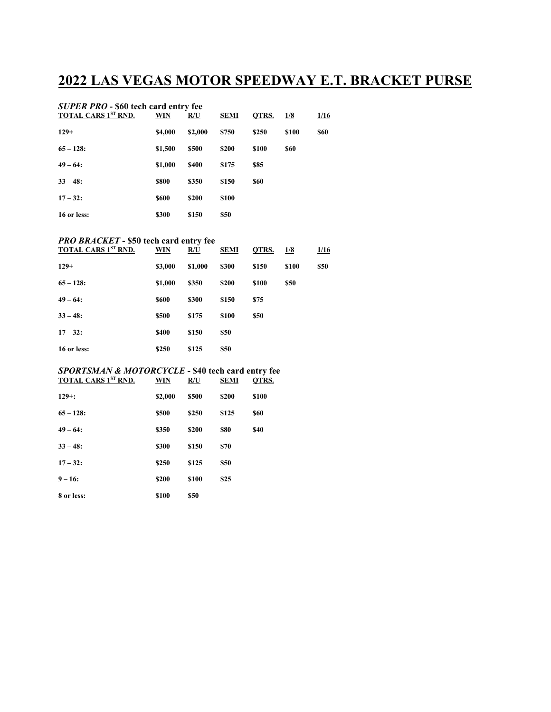# **2022 LAS VEGAS MOTOR SPEEDWAY E.T. BRACKET PURSE**

| <b>SUPER PRO - \$60 tech card entry fee</b> |                |              |             |       |       |      |
|---------------------------------------------|----------------|--------------|-------------|-------|-------|------|
| <b>TOTAL CARS 1ST RND.</b>                  | WIN            | R/U          | <b>SEMI</b> | QTRS. | 1/8   | 1/16 |
| $129+$                                      | <b>\$4,000</b> | \$2,000      | \$750       | \$250 | \$100 | \$60 |
| $65 - 128$ :                                | \$1,500        | \$500        | \$200       | \$100 | \$60  |      |
| $49 - 64:$                                  | \$1,000        | <b>\$400</b> | \$175       | \$85  |       |      |
| $33 - 48$ :                                 | \$800          | \$350        | \$150       | \$60  |       |      |
| $17 - 32$ :                                 | \$600          | \$200        | \$100       |       |       |      |
| 16 or less:                                 | \$300          | \$150        | \$50        |       |       |      |

#### *PRO BRACKET* **- \$50 tech card entry fee**

| <b>TOTAL CARS 1ST RND.</b> | WIN     | R/U     | <b>SEMI</b> | QTRS. | 1/8   | 1/16 |
|----------------------------|---------|---------|-------------|-------|-------|------|
| $129+$                     | \$3,000 | \$1,000 | \$300       | \$150 | \$100 | \$50 |
| $65 - 128$ :               | \$1,000 | \$350   | \$200       | \$100 | \$50  |      |
| $49 - 64:$                 | \$600   | \$300   | \$150       | \$75  |       |      |
| $33 - 48$ :                | \$500   | \$175   | \$100       | \$50  |       |      |
| $17 - 32$ :                | \$400   | \$150   | \$50        |       |       |      |
| 16 or less:                | \$250   | \$125   | \$50        |       |       |      |

#### *SPORTSMAN & MOTORCYCLE -* **\$40 tech card entry fee TOTAL CARS 1ST RND. WIN R/U SEMI QTRS.**

| $129 +:$     | \$2,000 | \$500 | \$200 | \$100       |
|--------------|---------|-------|-------|-------------|
| $65 - 128$ : | \$500   | \$250 | \$125 | <b>\$60</b> |
| $49 - 64:$   | \$350   | \$200 | \$80  | \$40        |
| $33 - 48$ :  | \$300   | \$150 | \$70  |             |
| $17 - 32$ :  | \$250   | \$125 | \$50  |             |
| $9 - 16:$    | \$200   | \$100 | \$25  |             |
| 8 or less:   | \$100   | \$50  |       |             |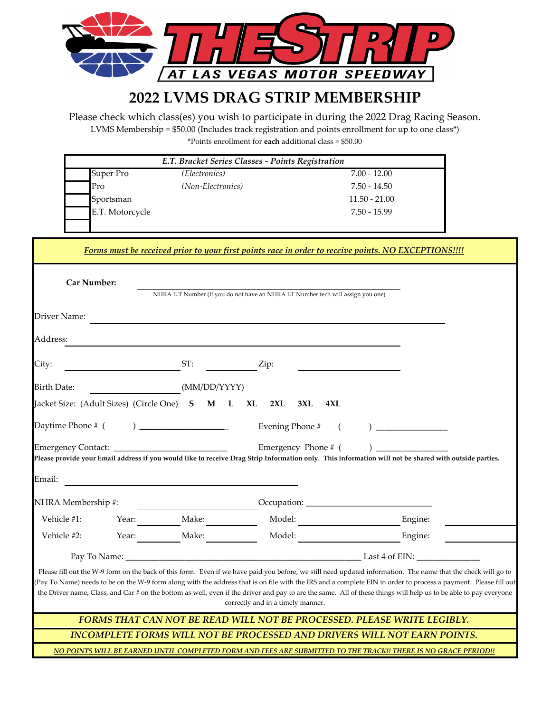

# **2022 LVMS DRAG STRIP MEMBERSHIP**

\*Points enrollment for **each** additional class = \$50.00 Please check which class(es) you wish to participate in during the 2022 Drag Racing Season. LVMS Membership = \$50.00 (Includes track registration and points enrollment for up to one class\*)

| $7.00 - 12.00$  |
|-----------------|
| 7.50 - 14.50    |
| $11.50 - 21.00$ |
| 7.50 - 15.99    |
|                 |

| Forms must be received prior to your first points race in order to receive points. NO EXCEPTIONS!!!!                                                                         |       |                                               |                                                                                 |         |
|------------------------------------------------------------------------------------------------------------------------------------------------------------------------------|-------|-----------------------------------------------|---------------------------------------------------------------------------------|---------|
| <b>Car Number:</b>                                                                                                                                                           |       |                                               | NHRA E.T Number (If you do not have an NHRA ET Number tech will assign you one) |         |
| Driver Name:                                                                                                                                                                 |       |                                               |                                                                                 |         |
| Address:                                                                                                                                                                     |       |                                               |                                                                                 |         |
| City:                                                                                                                                                                        |       | ST:                                           | Zip:                                                                            |         |
| <b>Birth Date:</b>                                                                                                                                                           |       | (MM/DD/YYYY)                                  |                                                                                 |         |
|                                                                                                                                                                              |       | Jacket Size: (Adult Sizes) (Circle One) S M L | XL 2XL<br>3XL<br>4XL                                                            |         |
|                                                                                                                                                                              |       |                                               | Evening Phone #                                                                 |         |
| Emergency Phone # (<br>Please provide your Email address if you would like to receive Drag Strip Information only. This information will not be shared with outside parties. |       |                                               |                                                                                 |         |
| Email:                                                                                                                                                                       |       |                                               |                                                                                 |         |
| NHRA Membership #:                                                                                                                                                           |       |                                               |                                                                                 |         |
| Vehicle #1:                                                                                                                                                                  | Year: | Make:                                         | Model:                                                                          | Engine: |
| Vehicle #2:                                                                                                                                                                  | Year: | Make:                                         | Model:                                                                          | Engine: |
|                                                                                                                                                                              |       |                                               |                                                                                 |         |

Please fill out the W-9 form on the back of this form. Even if we have paid you before, we still need updated information. The name that the check will go to (Pay To Name) needs to be on the W-9 form along with the address that is on file with the IRS and a complete EIN in order to process a payment. Please fill out the Driver name, Class, and Car # on the bottom as well, even if the driver and pay to are the same. All of these things will help us to be able to pay everyone correctly and in a timely manner.

*INCOMPLETE FORMS WILL NOT BE PROCESSED AND DRIVERS WILL NOT EARN POINTS. FORMS THAT CAN NOT BE READ WILL NOT BE PROCESSED. PLEASE WRITE LEGIBLY.*

*NO POINTS WILL BE EARNED UNTIL COMPLETED FORM AND FEES ARE SUBMITTED TO THE TRACK!! THERE IS NO GRACE PERIOD!!*